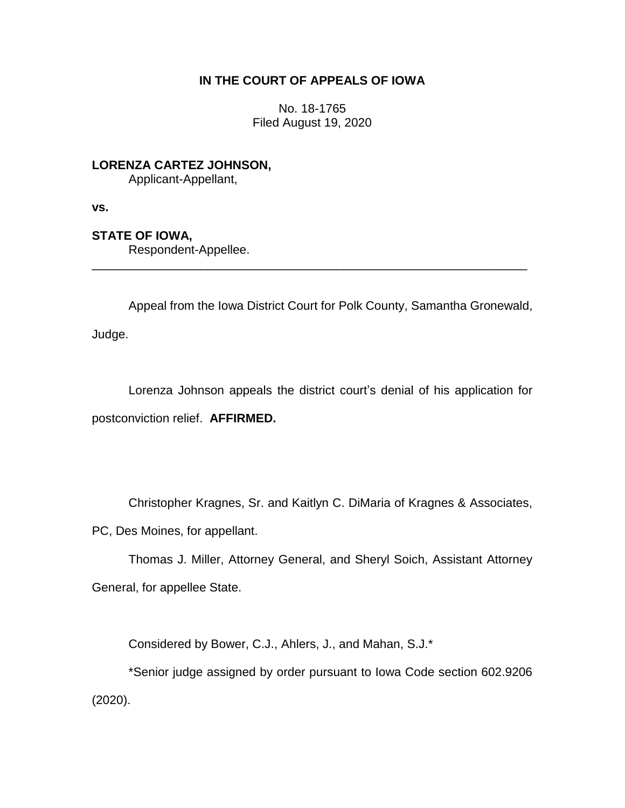# **IN THE COURT OF APPEALS OF IOWA**

No. 18-1765 Filed August 19, 2020

**LORENZA CARTEZ JOHNSON,**

Applicant-Appellant,

**vs.**

# **STATE OF IOWA,**

Respondent-Appellee.

Appeal from the Iowa District Court for Polk County, Samantha Gronewald, Judge.

\_\_\_\_\_\_\_\_\_\_\_\_\_\_\_\_\_\_\_\_\_\_\_\_\_\_\_\_\_\_\_\_\_\_\_\_\_\_\_\_\_\_\_\_\_\_\_\_\_\_\_\_\_\_\_\_\_\_\_\_\_\_\_\_

Lorenza Johnson appeals the district court's denial of his application for postconviction relief. **AFFIRMED.**

Christopher Kragnes, Sr. and Kaitlyn C. DiMaria of Kragnes & Associates, PC, Des Moines, for appellant.

Thomas J. Miller, Attorney General, and Sheryl Soich, Assistant Attorney General, for appellee State.

Considered by Bower, C.J., Ahlers, J., and Mahan, S.J.\*

\*Senior judge assigned by order pursuant to Iowa Code section 602.9206 (2020).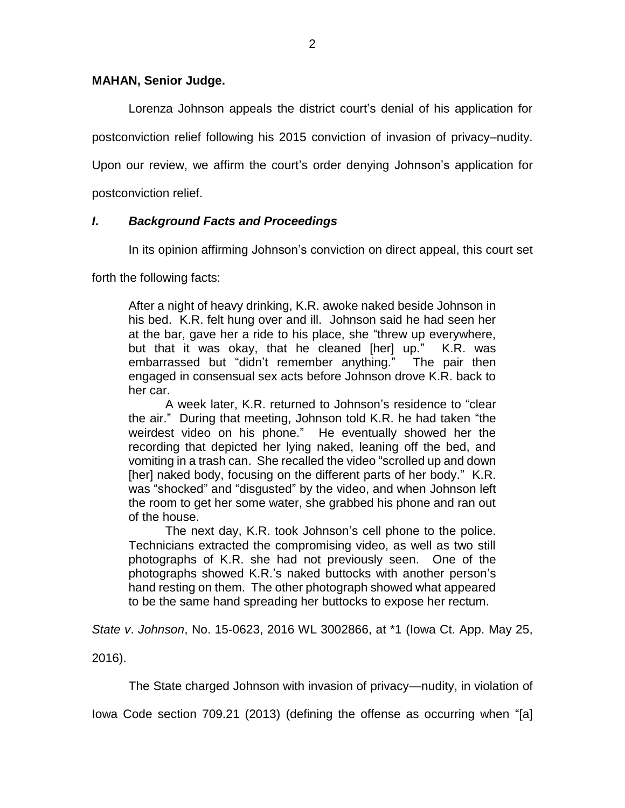### **MAHAN, Senior Judge.**

Lorenza Johnson appeals the district court's denial of his application for postconviction relief following his 2015 conviction of invasion of privacy–nudity. Upon our review, we affirm the court's order denying Johnson's application for

postconviction relief.

## *I***.** *Background Facts and Proceedings*

In its opinion affirming Johnson's conviction on direct appeal, this court set

forth the following facts:

After a night of heavy drinking, K.R. awoke naked beside Johnson in his bed. K.R. felt hung over and ill. Johnson said he had seen her at the bar, gave her a ride to his place, she "threw up everywhere, but that it was okay, that he cleaned [her] up." K.R. was embarrassed but "didn't remember anything." The pair then engaged in consensual sex acts before Johnson drove K.R. back to her car.

A week later, K.R. returned to Johnson's residence to "clear the air." During that meeting, Johnson told K.R. he had taken "the weirdest video on his phone." He eventually showed her the recording that depicted her lying naked, leaning off the bed, and vomiting in a trash can. She recalled the video "scrolled up and down [her] naked body, focusing on the different parts of her body." K.R. was "shocked" and "disgusted" by the video, and when Johnson left the room to get her some water, she grabbed his phone and ran out of the house.

The next day, K.R. took Johnson's cell phone to the police. Technicians extracted the compromising video, as well as two still photographs of K.R. she had not previously seen. One of the photographs showed K.R.'s naked buttocks with another person's hand resting on them. The other photograph showed what appeared to be the same hand spreading her buttocks to expose her rectum.

*State v*. *Johnson*, No. 15-0623, 2016 WL 3002866, at \*1 (Iowa Ct. App. May 25,

2016).

The State charged Johnson with invasion of privacy—nudity, in violation of

Iowa Code section 709.21 (2013) (defining the offense as occurring when "[a]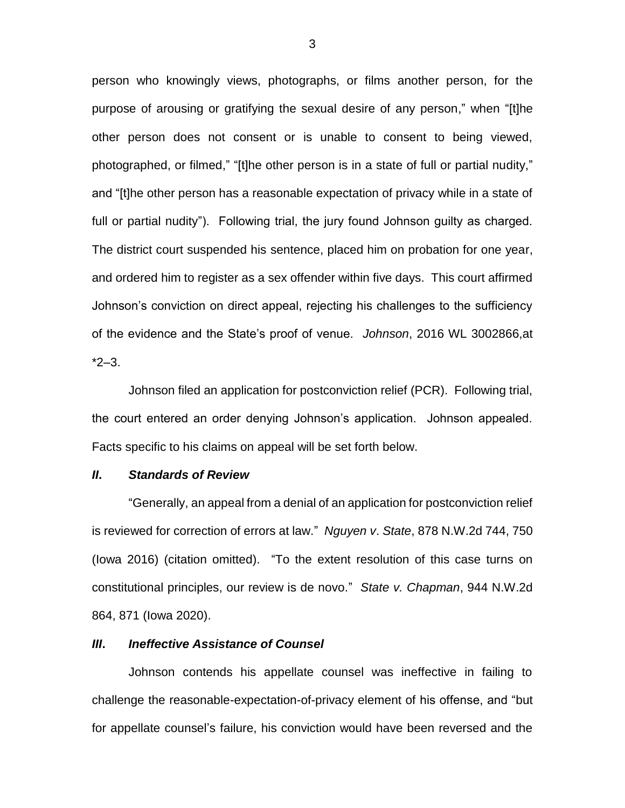person who knowingly views, photographs, or films another person, for the purpose of arousing or gratifying the sexual desire of any person," when "[t]he other person does not consent or is unable to consent to being viewed, photographed, or filmed," "[t]he other person is in a state of full or partial nudity," and "[t]he other person has a reasonable expectation of privacy while in a state of full or partial nudity"). Following trial, the jury found Johnson guilty as charged. The district court suspended his sentence, placed him on probation for one year, and ordered him to register as a sex offender within five days. This court affirmed Johnson's conviction on direct appeal, rejecting his challenges to the sufficiency of the evidence and the State's proof of venue. *Johnson*, 2016 WL 3002866,at  $*2-3.$ 

Johnson filed an application for postconviction relief (PCR). Following trial, the court entered an order denying Johnson's application. Johnson appealed. Facts specific to his claims on appeal will be set forth below.

#### *II***.** *Standards of Review*

"Generally, an appeal from a denial of an application for postconviction relief is reviewed for correction of errors at law." *Nguyen v*. *State*, 878 N.W.2d 744, 750 (Iowa 2016) (citation omitted). "To the extent resolution of this case turns on constitutional principles, our review is de novo." *State v. Chapman*, 944 N.W.2d 864, 871 (Iowa 2020).

#### *III***.** *Ineffective Assistance of Counsel*

Johnson contends his appellate counsel was ineffective in failing to challenge the reasonable-expectation-of-privacy element of his offense, and "but for appellate counsel's failure, his conviction would have been reversed and the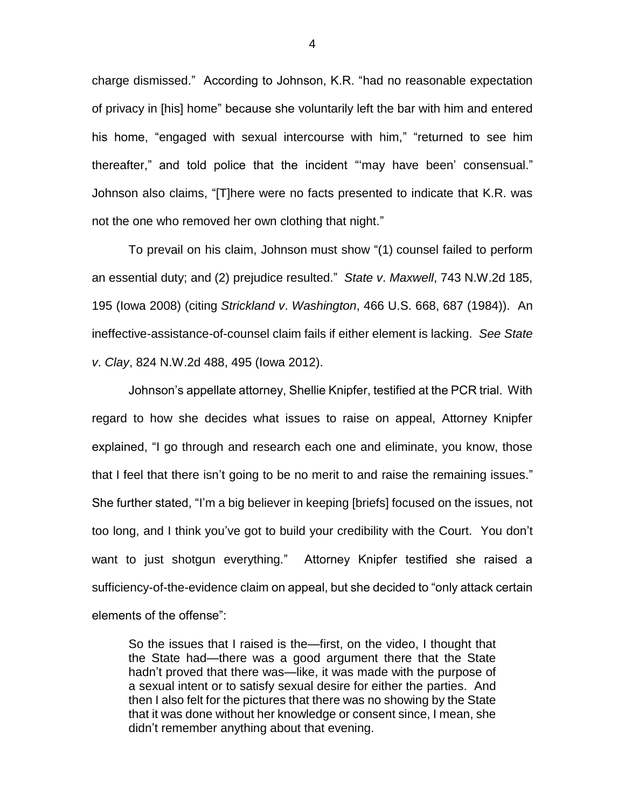charge dismissed." According to Johnson, K.R. "had no reasonable expectation of privacy in [his] home" because she voluntarily left the bar with him and entered his home, "engaged with sexual intercourse with him," "returned to see him thereafter," and told police that the incident "'may have been' consensual." Johnson also claims, "[T]here were no facts presented to indicate that K.R. was not the one who removed her own clothing that night."

To prevail on his claim, Johnson must show "(1) counsel failed to perform an essential duty; and (2) prejudice resulted." *State v*. *Maxwell*, 743 N.W.2d 185, 195 (Iowa 2008) (citing *Strickland v*. *Washington*, 466 U.S. 668, 687 (1984)). An ineffective-assistance-of-counsel claim fails if either element is lacking. *See State v*. *Clay*, 824 N.W.2d 488, 495 (Iowa 2012).

Johnson's appellate attorney, Shellie Knipfer, testified at the PCR trial. With regard to how she decides what issues to raise on appeal, Attorney Knipfer explained, "I go through and research each one and eliminate, you know, those that I feel that there isn't going to be no merit to and raise the remaining issues." She further stated, "I'm a big believer in keeping [briefs] focused on the issues, not too long, and I think you've got to build your credibility with the Court. You don't want to just shotgun everything." Attorney Knipfer testified she raised a sufficiency-of-the-evidence claim on appeal, but she decided to "only attack certain elements of the offense":

So the issues that I raised is the—first, on the video, I thought that the State had—there was a good argument there that the State hadn't proved that there was—like, it was made with the purpose of a sexual intent or to satisfy sexual desire for either the parties. And then I also felt for the pictures that there was no showing by the State that it was done without her knowledge or consent since, I mean, she didn't remember anything about that evening.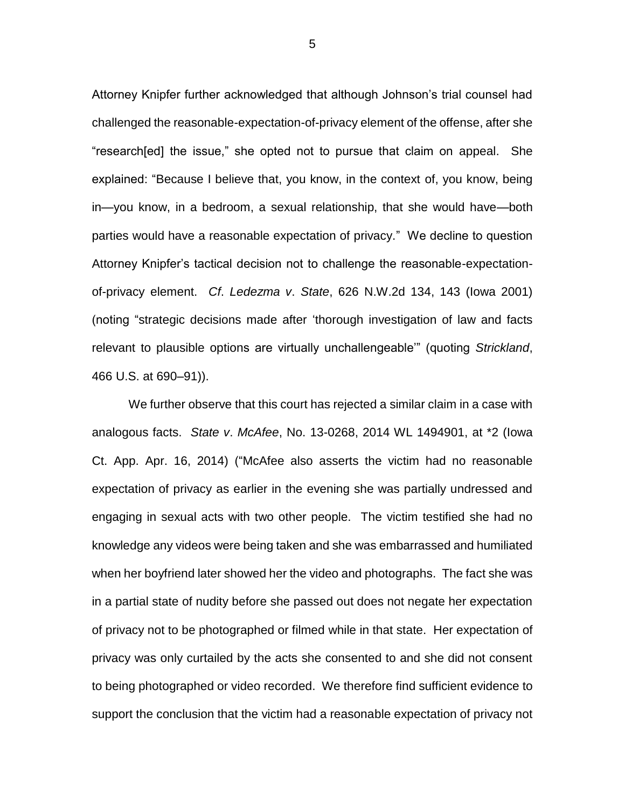Attorney Knipfer further acknowledged that although Johnson's trial counsel had challenged the reasonable-expectation-of-privacy element of the offense, after she "research[ed] the issue," she opted not to pursue that claim on appeal. She explained: "Because I believe that, you know, in the context of, you know, being in—you know, in a bedroom, a sexual relationship, that she would have—both parties would have a reasonable expectation of privacy." We decline to question Attorney Knipfer's tactical decision not to challenge the reasonable-expectationof-privacy element. *Cf*. *Ledezma v*. *State*, 626 N.W.2d 134, 143 (Iowa 2001) (noting "strategic decisions made after 'thorough investigation of law and facts relevant to plausible options are virtually unchallengeable'" (quoting *Strickland*, 466 U.S. at 690–91)).

We further observe that this court has rejected a similar claim in a case with analogous facts. *State v*. *McAfee*, No. 13-0268, 2014 WL 1494901, at \*2 (Iowa Ct. App. Apr. 16, 2014) ("McAfee also asserts the victim had no reasonable expectation of privacy as earlier in the evening she was partially undressed and engaging in sexual acts with two other people. The victim testified she had no knowledge any videos were being taken and she was embarrassed and humiliated when her boyfriend later showed her the video and photographs. The fact she was in a partial state of nudity before she passed out does not negate her expectation of privacy not to be photographed or filmed while in that state. Her expectation of privacy was only curtailed by the acts she consented to and she did not consent to being photographed or video recorded. We therefore find sufficient evidence to support the conclusion that the victim had a reasonable expectation of privacy not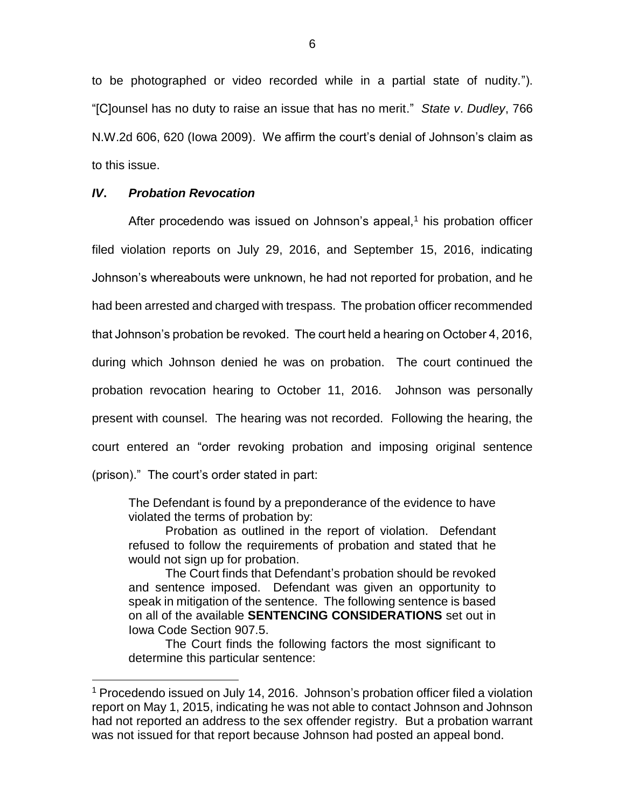to be photographed or video recorded while in a partial state of nudity."). "[C]ounsel has no duty to raise an issue that has no merit." *State v*. *Dudley*, 766 N.W.2d 606, 620 (Iowa 2009). We affirm the court's denial of Johnson's claim as to this issue.

### *IV***.** *Probation Revocation*

 $\overline{a}$ 

After procedendo was issued on Johnson's appeal,<sup>1</sup> his probation officer filed violation reports on July 29, 2016, and September 15, 2016, indicating Johnson's whereabouts were unknown, he had not reported for probation, and he had been arrested and charged with trespass. The probation officer recommended that Johnson's probation be revoked. The court held a hearing on October 4, 2016, during which Johnson denied he was on probation. The court continued the probation revocation hearing to October 11, 2016. Johnson was personally present with counsel. The hearing was not recorded. Following the hearing, the court entered an "order revoking probation and imposing original sentence (prison)." The court's order stated in part:

The Defendant is found by a preponderance of the evidence to have violated the terms of probation by:

Probation as outlined in the report of violation. Defendant refused to follow the requirements of probation and stated that he would not sign up for probation.

The Court finds that Defendant's probation should be revoked and sentence imposed. Defendant was given an opportunity to speak in mitigation of the sentence. The following sentence is based on all of the available **SENTENCING CONSIDERATIONS** set out in Iowa Code Section 907.5.

The Court finds the following factors the most significant to determine this particular sentence:

<sup>1</sup> Procedendo issued on July 14, 2016. Johnson's probation officer filed a violation report on May 1, 2015, indicating he was not able to contact Johnson and Johnson had not reported an address to the sex offender registry. But a probation warrant was not issued for that report because Johnson had posted an appeal bond.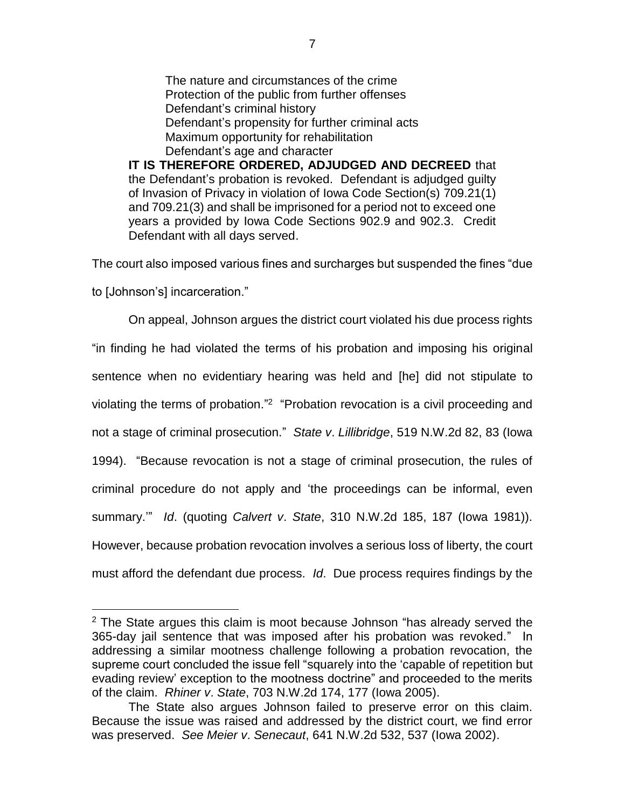The nature and circumstances of the crime Protection of the public from further offenses Defendant's criminal history Defendant's propensity for further criminal acts Maximum opportunity for rehabilitation Defendant's age and character

**IT IS THEREFORE ORDERED, ADJUDGED AND DECREED** that the Defendant's probation is revoked. Defendant is adjudged guilty of Invasion of Privacy in violation of Iowa Code Section(s) 709.21(1) and 709.21(3) and shall be imprisoned for a period not to exceed one years a provided by Iowa Code Sections 902.9 and 902.3. Credit Defendant with all days served.

The court also imposed various fines and surcharges but suspended the fines "due

to [Johnson's] incarceration."

 $\overline{a}$ 

On appeal, Johnson argues the district court violated his due process rights "in finding he had violated the terms of his probation and imposing his original sentence when no evidentiary hearing was held and [he] did not stipulate to violating the terms of probation."<sup>2</sup> "Probation revocation is a civil proceeding and not a stage of criminal prosecution." *State v*. *Lillibridge*, 519 N.W.2d 82, 83 (Iowa 1994). "Because revocation is not a stage of criminal prosecution, the rules of criminal procedure do not apply and 'the proceedings can be informal, even summary.'" *Id*. (quoting *Calvert v*. *State*, 310 N.W.2d 185, 187 (Iowa 1981)). However, because probation revocation involves a serious loss of liberty, the court must afford the defendant due process. *Id*. Due process requires findings by the

 $2$  The State argues this claim is moot because Johnson "has already served the 365-day jail sentence that was imposed after his probation was revoked." In addressing a similar mootness challenge following a probation revocation, the supreme court concluded the issue fell "squarely into the 'capable of repetition but evading review' exception to the mootness doctrine" and proceeded to the merits of the claim. *Rhiner v*. *State*, 703 N.W.2d 174, 177 (Iowa 2005).

The State also argues Johnson failed to preserve error on this claim. Because the issue was raised and addressed by the district court, we find error was preserved. *See Meier v*. *Senecaut*, 641 N.W.2d 532, 537 (Iowa 2002).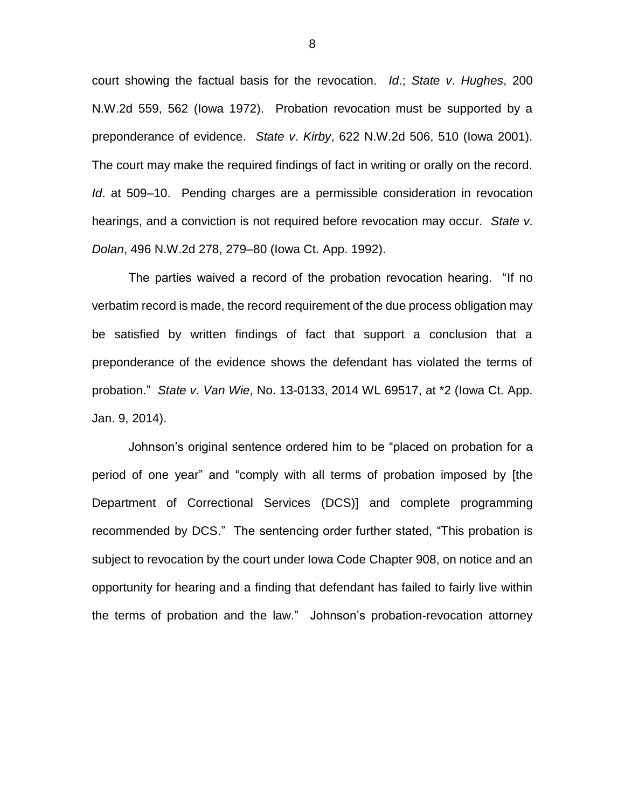court showing the factual basis for the revocation. *Id*.; *State v*. *Hughes*, 200 N.W.2d 559, 562 (Iowa 1972). Probation revocation must be supported by a preponderance of evidence. *State v*. *Kirby*, 622 N.W.2d 506, 510 (Iowa 2001). The court may make the required findings of fact in writing or orally on the record. *Id*. at 509–10. Pending charges are a permissible consideration in revocation hearings, and a conviction is not required before revocation may occur. *State v*. *Dolan*, 496 N.W.2d 278, 279–80 (Iowa Ct. App. 1992).

The parties waived a record of the probation revocation hearing. "If no verbatim record is made, the record requirement of the due process obligation may be satisfied by written findings of fact that support a conclusion that a preponderance of the evidence shows the defendant has violated the terms of probation." *State v*. *Van Wie*, No. 13-0133, 2014 WL 69517, at \*2 (Iowa Ct. App. Jan. 9, 2014).

Johnson's original sentence ordered him to be "placed on probation for a period of one year" and "comply with all terms of probation imposed by [the Department of Correctional Services (DCS)] and complete programming recommended by DCS." The sentencing order further stated, "This probation is subject to revocation by the court under Iowa Code Chapter 908, on notice and an opportunity for hearing and a finding that defendant has failed to fairly live within the terms of probation and the law." Johnson's probation-revocation attorney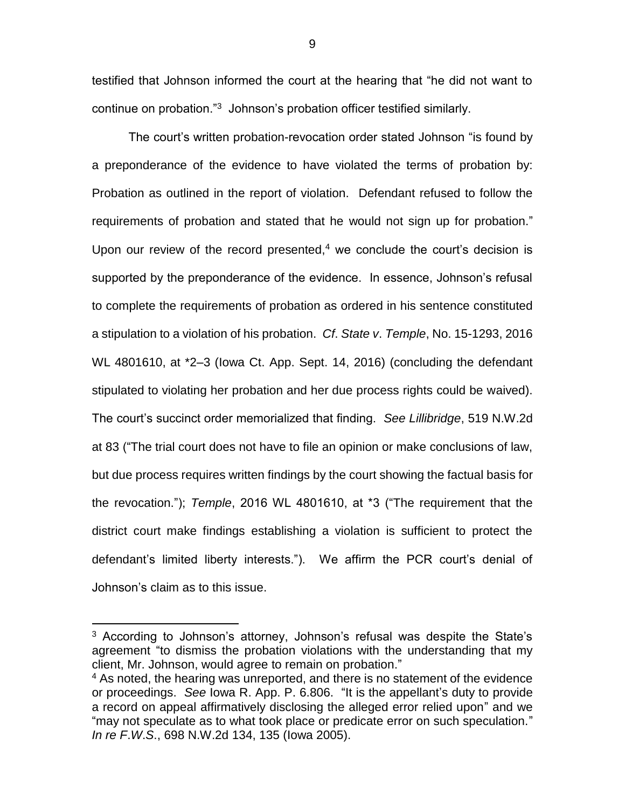testified that Johnson informed the court at the hearing that "he did not want to continue on probation."<sup>3</sup> Johnson's probation officer testified similarly.

 The court's written probation-revocation order stated Johnson "is found by a preponderance of the evidence to have violated the terms of probation by: Probation as outlined in the report of violation. Defendant refused to follow the requirements of probation and stated that he would not sign up for probation." Upon our review of the record presented, $4$  we conclude the court's decision is supported by the preponderance of the evidence. In essence, Johnson's refusal to complete the requirements of probation as ordered in his sentence constituted a stipulation to a violation of his probation. *Cf*. *State v*. *Temple*, No. 15-1293, 2016 WL 4801610, at \*2–3 (Iowa Ct. App. Sept. 14, 2016) (concluding the defendant stipulated to violating her probation and her due process rights could be waived). The court's succinct order memorialized that finding. *See Lillibridge*, 519 N.W.2d at 83 ("The trial court does not have to file an opinion or make conclusions of law, but due process requires written findings by the court showing the factual basis for the revocation."); *Temple*, 2016 WL 4801610, at \*3 ("The requirement that the district court make findings establishing a violation is sufficient to protect the defendant's limited liberty interests."). We affirm the PCR court's denial of Johnson's claim as to this issue.

 $\overline{a}$ 

<sup>&</sup>lt;sup>3</sup> According to Johnson's attorney, Johnson's refusal was despite the State's agreement "to dismiss the probation violations with the understanding that my client, Mr. Johnson, would agree to remain on probation."

<sup>&</sup>lt;sup>4</sup> As noted, the hearing was unreported, and there is no statement of the evidence or proceedings. *See* Iowa R. App. P. 6.806. "It is the appellant's duty to provide a record on appeal affirmatively disclosing the alleged error relied upon" and we "may not speculate as to what took place or predicate error on such speculation." *In re F*.*W*.*S*., 698 N.W.2d 134, 135 (Iowa 2005).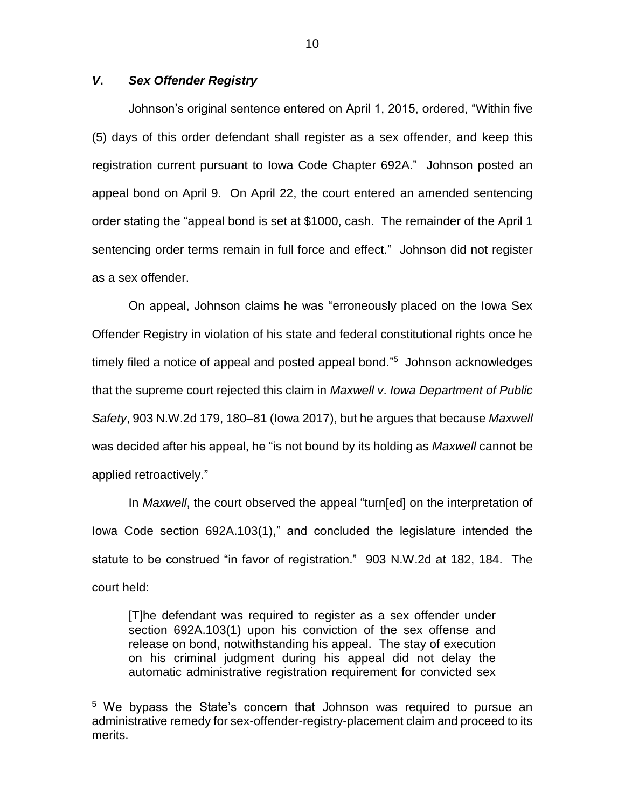### *V***.** *Sex Offender Registry*

 $\overline{a}$ 

Johnson's original sentence entered on April 1, 2015, ordered, "Within five (5) days of this order defendant shall register as a sex offender, and keep this registration current pursuant to Iowa Code Chapter 692A." Johnson posted an appeal bond on April 9. On April 22, the court entered an amended sentencing order stating the "appeal bond is set at \$1000, cash. The remainder of the April 1 sentencing order terms remain in full force and effect." Johnson did not register as a sex offender.

On appeal, Johnson claims he was "erroneously placed on the Iowa Sex Offender Registry in violation of his state and federal constitutional rights once he timely filed a notice of appeal and posted appeal bond." 5 Johnson acknowledges that the supreme court rejected this claim in *Maxwell v*. *Iowa Department of Public Safety*, 903 N.W.2d 179, 180–81 (Iowa 2017), but he argues that because *Maxwell*  was decided after his appeal, he "is not bound by its holding as *Maxwell* cannot be applied retroactively."

In *Maxwell*, the court observed the appeal "turn[ed] on the interpretation of Iowa Code section 692A.103(1)," and concluded the legislature intended the statute to be construed "in favor of registration." 903 N.W.2d at 182, 184. The court held:

[T]he defendant was required to register as a sex offender under section 692A.103(1) upon his conviction of the sex offense and release on bond, notwithstanding his appeal. The stay of execution on his criminal judgment during his appeal did not delay the automatic administrative registration requirement for convicted sex

<sup>&</sup>lt;sup>5</sup> We bypass the State's concern that Johnson was required to pursue an administrative remedy for sex-offender-registry-placement claim and proceed to its merits.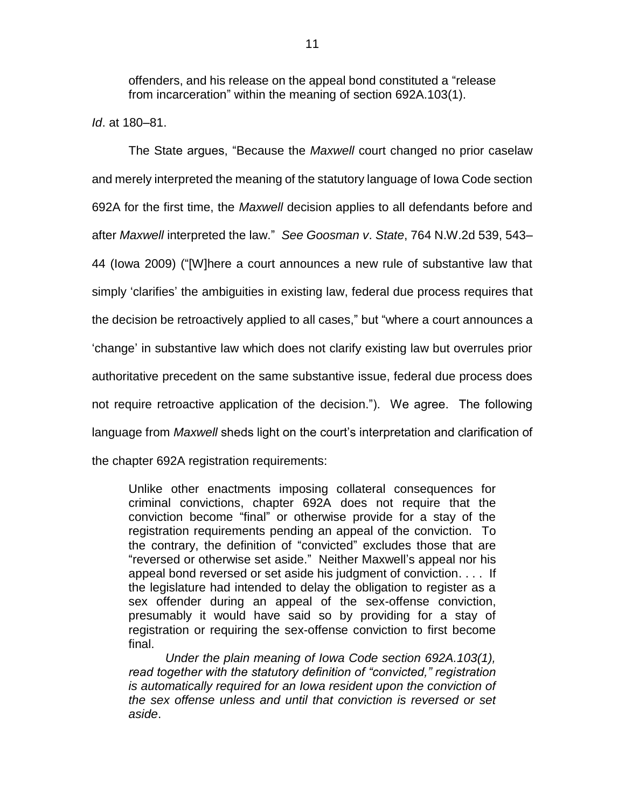offenders, and his release on the appeal bond constituted a "release from incarceration" within the meaning of section 692A.103(1).

*Id*. at 180–81.

The State argues, "Because the *Maxwell* court changed no prior caselaw and merely interpreted the meaning of the statutory language of Iowa Code section 692A for the first time, the *Maxwell* decision applies to all defendants before and after *Maxwell* interpreted the law." *See Goosman v*. *State*, 764 N.W.2d 539, 543– 44 (Iowa 2009) ("[W]here a court announces a new rule of substantive law that simply 'clarifies' the ambiguities in existing law, federal due process requires that the decision be retroactively applied to all cases," but "where a court announces a 'change' in substantive law which does not clarify existing law but overrules prior authoritative precedent on the same substantive issue, federal due process does not require retroactive application of the decision."). We agree. The following language from *Maxwell* sheds light on the court's interpretation and clarification of the chapter 692A registration requirements:

Unlike other enactments imposing collateral consequences for criminal convictions, chapter 692A does not require that the conviction become "final" or otherwise provide for a stay of the registration requirements pending an appeal of the conviction. To the contrary, the definition of "convicted" excludes those that are "reversed or otherwise set aside." Neither Maxwell's appeal nor his appeal bond reversed or set aside his judgment of conviction. . . . If the legislature had intended to delay the obligation to register as a sex offender during an appeal of the sex-offense conviction, presumably it would have said so by providing for a stay of registration or requiring the sex-offense conviction to first become final.

*Under the plain meaning of Iowa Code section 692A.103(1), read together with the statutory definition of "convicted," registration is automatically required for an Iowa resident upon the conviction of the sex offense unless and until that conviction is reversed or set aside*.